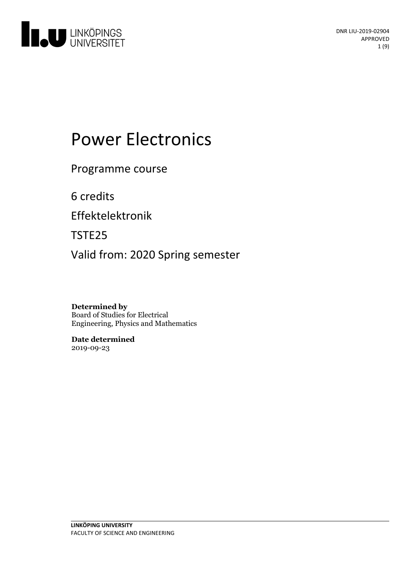

# **Power Electronics**

Programme course

6 credits

Effektelektronik

TSTE25

Valid from: 2020 Spring semester

**Determined by** Board of Studies for Electrical Engineering, Physics and Mathematics

**Date determined** 2019-09-23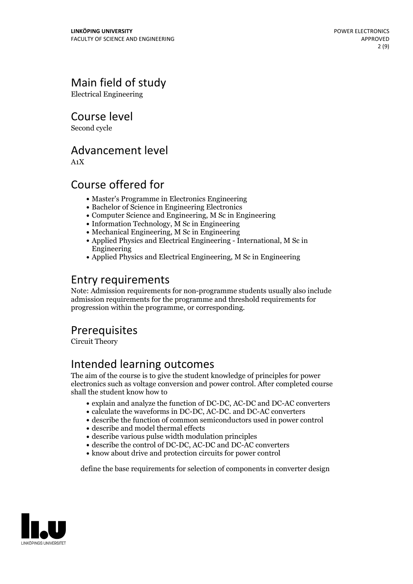# Main field of study

Electrical Engineering

Course level

Second cycle

### Advancement level

A1X

# Course offered for

- Master's Programme in Electronics Engineering
- Bachelor of Science in Engineering Electronics
- Computer Science and Engineering, M Sc in Engineering
- Information Technology, M Sc in Engineering
- Mechanical Engineering, M Sc in Engineering
- Applied Physics and Electrical Engineering International, M Sc in Engineering
- Applied Physics and Electrical Engineering, M Sc in Engineering

### Entry requirements

Note: Admission requirements for non-programme students usually also include admission requirements for the programme and threshold requirements for progression within the programme, or corresponding.

### **Prerequisites**

Circuit Theory

# Intended learning outcomes

The aim of the course is to give the student knowledge of principles for power electronics such as voltage conversion and power control. After completed course shall the student know how to

- explain and analyze the function of DC-DC, AC-DC and DC-AC converters
- calculate the waveforms in DC-DC, AC-DC. and DC-AC converters
- describe the function of common semiconductors used in power control
- describe and model thermal effects
- describe various pulse width modulation principles
- describe the control of DC-DC, AC-DC and DC-AC converters
- know about drive and protection circuits for power control

define the base requirements for selection of components in converter design

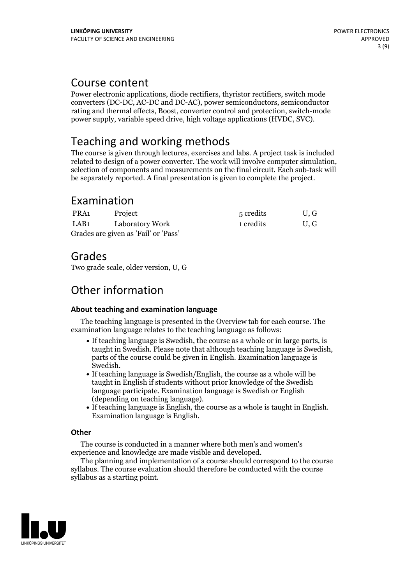### Course content

Power electronic applications, diode rectifiers, thyristor rectifiers, switch mode converters (DC-DC, AC-DC and DC-AC), power semiconductors, semiconductor rating and thermal effects, Boost, converter control and protection, switch-mode power supply, variable speed drive, high voltage applications (HVDC, SVC).

## Teaching and working methods

The course is given through lectures, exercises and labs. A project task is included related to design of <sup>a</sup> power converter. The work willinvolve computer simulation, selection of components and measurements on the final circuit. Each sub-task will be separately reported. A final presentation is given to complete the project.

# Examination

| PRA1                                 | Project         | 5 credits | U.G |
|--------------------------------------|-----------------|-----------|-----|
| LAB1                                 | Laboratory Work | 1 credits | U.G |
| Grades are given as 'Fail' or 'Pass' |                 |           |     |

### Grades

Two grade scale, older version, U, G

# Other information

### **About teaching and examination language**

The teaching language is presented in the Overview tab for each course. The examination language relates to the teaching language as follows:

- If teaching language is Swedish, the course as a whole or in large parts, is taught in Swedish. Please note that although teaching language is Swedish, parts of the course could be given in English. Examination language is
- Swedish.<br>• If teaching language is Swedish/English, the course as a whole will be taught in English if students without prior knowledge of the Swedish language participate. Examination language is Swedish or English
- (depending on teaching language).<br>• If teaching language is English, the course as a whole is taught in English.<br>Examination language is English.

### **Other**

The course is conducted in a manner where both men's and women's

The planning and implementation of a course should correspond to the course syllabus. The course evaluation should therefore be conducted with the course syllabus as a starting point.

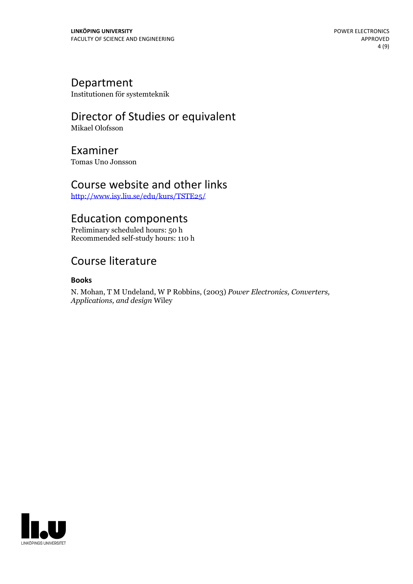### Department

Institutionen för systemteknik

# Director of Studies or equivalent

Mikael Olofsson

### Examiner

Tomas Uno Jonsson

### Course website and other links

<http://www.isy.liu.se/edu/kurs/TSTE25/>

### Education components

Preliminary scheduled hours: 50 h Recommended self-study hours: 110 h

# Course literature

### **Books**

N. Mohan, <sup>T</sup> <sup>M</sup> Undeland, <sup>W</sup> <sup>P</sup> Robbins, (2003) *Power Electronics, Converters, Applications, and design* Wiley

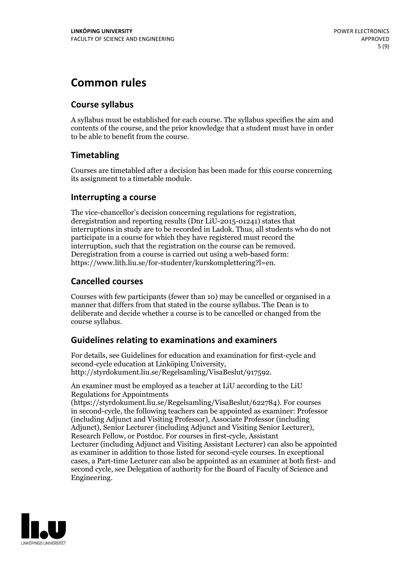# **Common rules**

### **Course syllabus**

A syllabus must be established for each course. The syllabus specifies the aim and contents of the course, and the prior knowledge that a student must have in order to be able to benefit from the course.

### **Timetabling**

Courses are timetabled after a decision has been made for this course concerning its assignment to a timetable module.

### **Interrupting a course**

The vice-chancellor's decision concerning regulations for registration, deregistration and reporting results (Dnr LiU-2015-01241) states that interruptions in study are to be recorded in Ladok. Thus, all students who do not participate in a course for which they have registered must record the interruption, such that the registration on the course can be removed. Deregistration from <sup>a</sup> course is carried outusing <sup>a</sup> web-based form: https://www.lith.liu.se/for-studenter/kurskomplettering?l=en.

### **Cancelled courses**

Courses with few participants (fewer than 10) may be cancelled or organised in a manner that differs from that stated in the course syllabus. The Dean is to deliberate and decide whether a course is to be cancelled or changed from the course syllabus.

### **Guidelines relatingto examinations and examiners**

For details, see Guidelines for education and examination for first-cycle and second-cycle education at Linköping University, http://styrdokument.liu.se/Regelsamling/VisaBeslut/917592.

An examiner must be employed as a teacher at LiU according to the LiU Regulations for Appointments

(https://styrdokument.liu.se/Regelsamling/VisaBeslut/622784). For courses in second-cycle, the following teachers can be appointed as examiner: Professor (including Adjunct and Visiting Professor), Associate Professor (including Adjunct), Senior Lecturer (including Adjunct and Visiting Senior Lecturer), Research Fellow, or Postdoc. For courses in first-cycle, Assistant Lecturer (including Adjunct and Visiting Assistant Lecturer) can also be appointed as examiner in addition to those listed for second-cycle courses. In exceptional cases, a Part-time Lecturer can also be appointed as an examiner at both first- and second cycle, see Delegation of authority for the Board of Faculty of Science and Engineering.

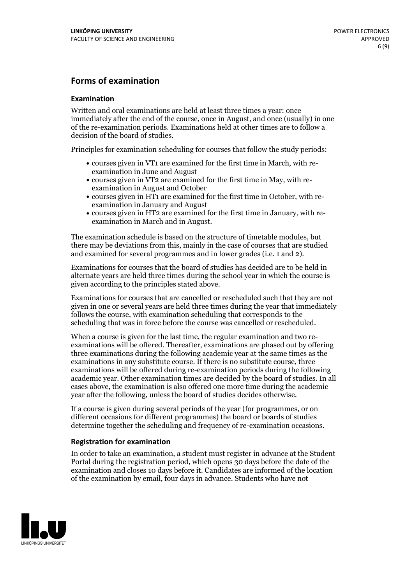### **Forms of examination**

#### **Examination**

Written and oral examinations are held at least three times a year: once immediately after the end of the course, once in August, and once (usually) in one of the re-examination periods. Examinations held at other times are to follow a decision of the board of studies.

Principles for examination scheduling for courses that follow the study periods:

- courses given in VT1 are examined for the first time in March, with re-examination in June and August
- courses given in VT2 are examined for the first time in May, with re-examination in August and October
- courses given in HT1 are examined for the first time in October, with re-examination in January and August
- courses given in HT2 are examined for the first time in January, with re-examination in March and in August.

The examination schedule is based on the structure of timetable modules, but there may be deviations from this, mainly in the case of courses that are studied and examined for several programmes and in lower grades (i.e. 1 and 2).

Examinations for courses that the board of studies has decided are to be held in alternate years are held three times during the school year in which the course is given according to the principles stated above.

Examinations for courses that are cancelled orrescheduled such that they are not given in one or several years are held three times during the year that immediately follows the course, with examination scheduling that corresponds to the scheduling that was in force before the course was cancelled or rescheduled.

When a course is given for the last time, the regular examination and two re-<br>examinations will be offered. Thereafter, examinations are phased out by offering three examinations during the following academic year at the same times as the examinations in any substitute course. If there is no substitute course, three examinations will be offered during re-examination periods during the following academic year. Other examination times are decided by the board of studies. In all cases above, the examination is also offered one more time during the academic year after the following, unless the board of studies decides otherwise.

If a course is given during several periods of the year (for programmes, or on different occasions for different programmes) the board or boards of studies determine together the scheduling and frequency of re-examination occasions.

#### **Registration for examination**

In order to take an examination, a student must register in advance at the Student Portal during the registration period, which opens 30 days before the date of the examination and closes 10 days before it. Candidates are informed of the location of the examination by email, four days in advance. Students who have not

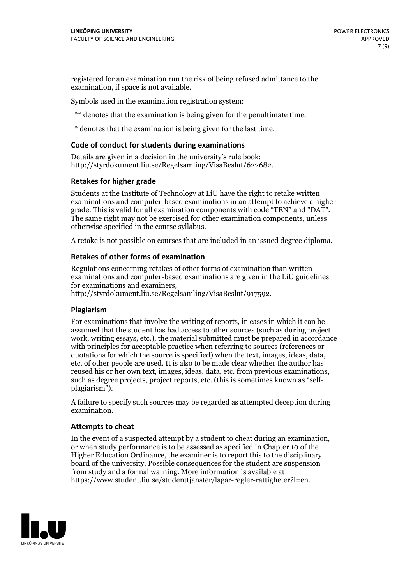registered for an examination run the risk of being refused admittance to the examination, if space is not available.

Symbols used in the examination registration system:

\*\* denotes that the examination is being given for the penultimate time.

\* denotes that the examination is being given for the last time.

#### **Code of conduct for students during examinations**

Details are given in a decision in the university's rule book: http://styrdokument.liu.se/Regelsamling/VisaBeslut/622682.

#### **Retakes for higher grade**

Students at the Institute of Technology at LiU have the right to retake written examinations and computer-based examinations in an attempt to achieve a higher grade. This is valid for all examination components with code "TEN" and "DAT". The same right may not be exercised for other examination components, unless otherwise specified in the course syllabus.

A retake is not possible on courses that are included in an issued degree diploma.

#### **Retakes of other forms of examination**

Regulations concerning retakes of other forms of examination than written examinations and computer-based examinations are given in the LiU guidelines

http://styrdokument.liu.se/Regelsamling/VisaBeslut/917592.

#### **Plagiarism**

For examinations that involve the writing of reports, in cases in which it can be assumed that the student has had access to other sources (such as during project work, writing essays, etc.), the material submitted must be prepared in accordance with principles for acceptable practice when referring to sources (references or quotations for which the source is specified) when the text, images, ideas, data,  $\vec{e}$  etc. of other people are used. It is also to be made clear whether the author has reused his or her own text, images, ideas, data, etc. from previous examinations, such as degree projects, project reports, etc. (this is sometimes known as "self- plagiarism").

A failure to specify such sources may be regarded as attempted deception during examination.

#### **Attempts to cheat**

In the event of <sup>a</sup> suspected attempt by <sup>a</sup> student to cheat during an examination, or when study performance is to be assessed as specified in Chapter <sup>10</sup> of the Higher Education Ordinance, the examiner is to report this to the disciplinary board of the university. Possible consequences for the student are suspension from study and a formal warning. More information is available at https://www.student.liu.se/studenttjanster/lagar-regler-rattigheter?l=en.

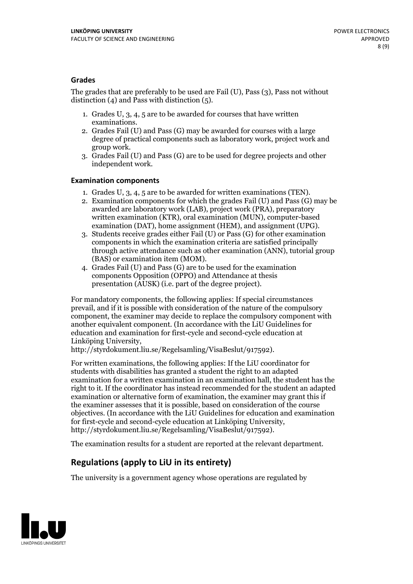#### **Grades**

The grades that are preferably to be used are Fail (U), Pass (3), Pass not without distinction  $(4)$  and Pass with distinction  $(5)$ .

- 1. Grades U, 3, 4, 5 are to be awarded for courses that have written
- examinations. 2. Grades Fail (U) and Pass (G) may be awarded for courses with <sup>a</sup> large degree of practical components such as laboratory work, project work and group work. 3. Grades Fail (U) and Pass (G) are to be used for degree projects and other
- independent work.

#### **Examination components**

- 
- 1. Grades U, 3, 4, <sup>5</sup> are to be awarded for written examinations (TEN). 2. Examination components for which the grades Fail (U) and Pass (G) may be awarded are laboratory work (LAB), project work (PRA), preparatory written examination (KTR), oral examination (MUN), computer-based
- examination (DAT), home assignment (HEM), and assignment (UPG). 3. Students receive grades either Fail (U) or Pass (G) for other examination components in which the examination criteria are satisfied principally through active attendance such as other examination (ANN), tutorial group (BAS) or examination item (MOM). 4. Grades Fail (U) and Pass (G) are to be used for the examination
- components Opposition (OPPO) and Attendance at thesis presentation (AUSK) (i.e. part of the degree project).

For mandatory components, the following applies: If special circumstances prevail, and if it is possible with consideration of the nature of the compulsory component, the examiner may decide to replace the compulsory component with another equivalent component. (In accordance with the LiU Guidelines for education and examination for first-cycle and second-cycle education at Linköping University, http://styrdokument.liu.se/Regelsamling/VisaBeslut/917592).

For written examinations, the following applies: If the LiU coordinator for students with disabilities has granted a student the right to an adapted examination for a written examination in an examination hall, the student has the right to it. If the coordinator has instead recommended for the student an adapted examination or alternative form of examination, the examiner may grant this if the examiner assesses that it is possible, based on consideration of the course objectives. (In accordance with the LiU Guidelines for education and examination for first-cycle and second-cycle education at Linköping University, http://styrdokument.liu.se/Regelsamling/VisaBeslut/917592).

The examination results for a student are reported at the relevant department.

### **Regulations (applyto LiU in its entirety)**

The university is a government agency whose operations are regulated by